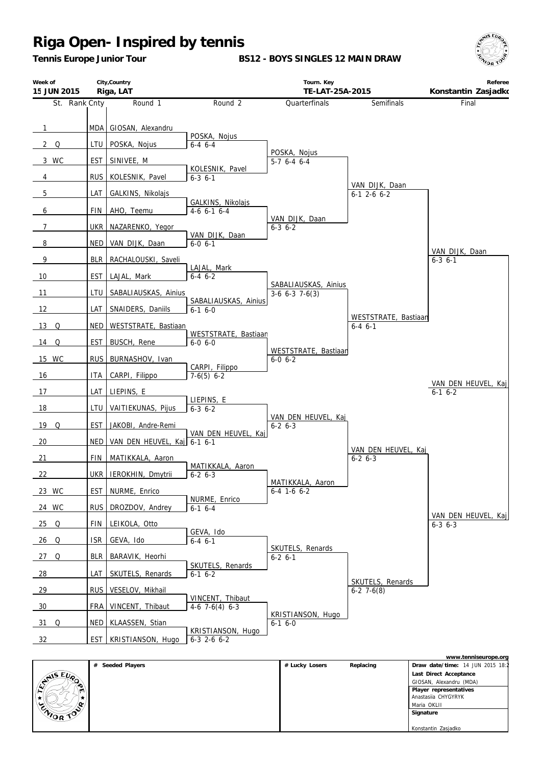*Tennis Europe Junior Tour*

**BS12 - BOYS SINGLES 12 MAIN DRAW**



| Week of<br>15 JUN 2015 |            | City, Country<br>Riga, LAT  |                                            | Tourn. Key<br>TE-LAT-25A-2015            |                                       | Referee<br>Konstantin Zasjadko         |
|------------------------|------------|-----------------------------|--------------------------------------------|------------------------------------------|---------------------------------------|----------------------------------------|
| St. Rank Cnty          |            | Round 1                     | Round <sub>2</sub>                         | Quarterfinals                            | Semifinals                            | Final                                  |
| $\mathbf{1}$           |            | MDA   GIOSAN, Alexandru     | POSKA, Nojus                               |                                          |                                       |                                        |
| $2^{\circ}$ Q          | LTU        | POSKA, Nojus                | $6-4$ $6-4$                                | POSKA, Nojus                             |                                       |                                        |
| 3 WC                   | EST        | SINIVEE, M                  | KOLESNIK, Pavel                            | $5-7$ 6-4 6-4                            |                                       |                                        |
| 4                      | <b>RUS</b> | KOLESNIK, Pavel             | $6 - 3 6 - 1$                              |                                          | VAN DIJK, Daan                        |                                        |
| 5                      | LAT        | GALKINS, Nikolajs           |                                            |                                          | $6-1$ 2-6 $6-2$                       |                                        |
| 6                      | FIN        | AHO, Teemu                  | GALKINS, Nikolajs<br>$4-6$ 6-1 6-4         |                                          |                                       |                                        |
| $\overline{7}$         | <b>UKR</b> | NAZARENKO, Yegor            |                                            | VAN DIJK, Daan<br>$6 - 3$ $6 - 2$        |                                       |                                        |
| 8                      | NED        | VAN DIJK, Daan              | VAN DIJK, Daan<br>$6 - 0 6 - 1$            |                                          |                                       |                                        |
| 9                      | <b>BLR</b> | RACHALOUSKI, Saveli         |                                            |                                          |                                       | VAN DIJK, Daan<br>$6 - 3$ $6 - 1$      |
| 10                     | <b>EST</b> | LAJAL, Mark                 | LAJAL, Mark<br>$6-4$ 6-2                   |                                          |                                       |                                        |
| 11                     | LTU        | SABALIAUSKAS, Ainius        |                                            | SABALIAUSKAS, Ainius<br>$3-6$ 6-3 7-6(3) |                                       |                                        |
| 12                     | LAT        | SNAIDERS, Daniils           | SABALIAUSKAS, Ainius<br>$6-1$ 6-0          |                                          |                                       |                                        |
| $13$ Q                 | NED        | WESTSTRATE, Bastiaan        |                                            |                                          | WESTSTRATE, Bastiaan<br>$6 - 4 6 - 1$ |                                        |
| 14 Q                   | EST        | BUSCH, Rene                 | WESTSTRATE, Bastiaan<br>$6 - 0 6 - 0$      |                                          |                                       |                                        |
| 15 WC                  | <b>RUS</b> | BURNASHOV, Ivan             |                                            | WESTSTRATE, Bastiaan<br>$6 - 0 6 - 2$    |                                       |                                        |
| 16                     | ITA        | CARPI, Filippo              | CARPI, Filippo<br>$7-6(5)$ 6-2             |                                          |                                       |                                        |
| 17                     | LAT        | LIEPINS, E                  |                                            |                                          |                                       | VAN DEN HEUVEL, Kaj<br>$6-1$ $6-2$     |
| 18                     | LTU        | VAITIEKUNAS, Pijus          | LIEPINS, E<br>$6 - 3 6 - 2$                |                                          |                                       |                                        |
| $19$ Q                 | <b>EST</b> | JAKOBI, Andre-Remi          |                                            | VAN DEN HEUVEL, Kaj<br>$6 - 2 6 - 3$     |                                       |                                        |
| 20                     | <b>NED</b> | VAN DEN HEUVEL, Kaj 6-1 6-1 | VAN DEN HEUVEL, Kaj                        |                                          |                                       |                                        |
| 21                     | <b>FIN</b> | MATIKKALA, Aaron            |                                            |                                          | VAN DEN HEUVEL, Kaj<br>$6 - 2 6 - 3$  |                                        |
| 22                     | UKR I      | IEROKHIN, Dmytrii           | MATIKKALA, Aaron<br>$6-26-3$               |                                          |                                       |                                        |
| 23 WC                  | EST        | NURME, Enrico               |                                            | MATIKKALA, Aaron<br>$6-4$ 1-6 $6-2$      |                                       |                                        |
| 24 WC                  | <b>RUS</b> | DROZDOV, Andrey             | NURME, Enrico<br>$6-1$ $6-4$               |                                          |                                       |                                        |
| $25$ Q                 | FIN        | LEIKOLA, Otto               |                                            |                                          |                                       | VAN DEN HEUVEL, Kaj<br>$6 - 3$ $6 - 3$ |
| 26 Q                   | <b>ISR</b> | GEVA, Ido                   | GEVA, Ido<br>$6 - 4$ $6 - 1$               |                                          |                                       |                                        |
| $27$ Q                 | <b>BLR</b> | BARAVIK, Heorhi             |                                            | SKUTELS, Renards<br>$6-2$ 6-1            |                                       |                                        |
| $\frac{28}{ }$         | LAT        | SKUTELS, Renards            | SKUTELS, Renards<br>$6-1$ $6-2$            |                                          |                                       |                                        |
| 29                     | <b>RUS</b> | VESELOV, Mikhail            |                                            |                                          | SKUTELS, Renards<br>$6-2$ 7 $-6(8)$   |                                        |
| 30                     | FRA        | VINCENT, Thibaut            | VINCENT, Thibaut<br>$4-6$ 7 $-6(4)$ 6 $-3$ |                                          |                                       |                                        |
| $31$ Q                 | NED        | KLAASSEN, Stian             |                                            | KRISTIANSON, Hugo<br>$6-1$ $6-0$         |                                       |                                        |
| 32                     | EST        | KRISTIANSON, Hugo           | KRISTIANSON, Hugo<br>$6-3$ 2-6 $6-2$       |                                          |                                       |                                        |

|                                |                  |                |           | www.tenniseurope.org             |
|--------------------------------|------------------|----------------|-----------|----------------------------------|
|                                | # Seeded Players | # Lucky Losers | Replacing | Draw date/time: 14 JUN 2015 18:2 |
|                                |                  |                |           | Last Direct Acceptance           |
| $\mathbb{C}^{\text{NIS EU}_R}$ |                  |                |           | GIOSAN, Alexandru (MDA)          |
| m                              |                  |                |           | Player representatives           |
|                                |                  |                |           | Anastasija CHYGYRYK              |
|                                |                  |                |           | Maria OKLII                      |
| ENIOR TO                       |                  |                |           | Signature                        |
|                                |                  |                |           |                                  |
|                                |                  |                |           | Konstantin Zasjadko              |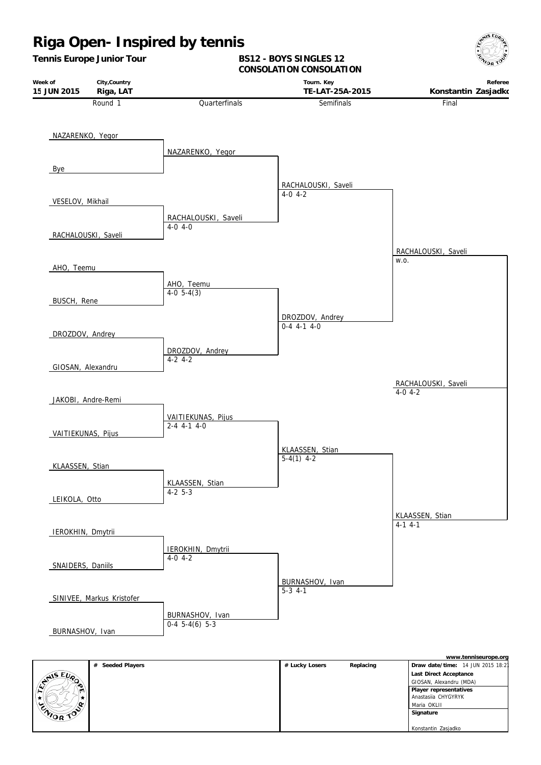

|          | # Seeded Players | # Lucky Losers | Replacing | Draw date/time: 14 JUN 2015 18:21 |
|----------|------------------|----------------|-----------|-----------------------------------|
|          |                  |                |           | Last Direct Acceptance            |
| ANS EVA  |                  |                |           | GIOSAN, Alexandru (MDA)           |
| ا است    |                  |                |           | Player representatives            |
|          |                  |                |           | Anastasila CHYGYRYK               |
|          |                  |                |           | Maria OKLII                       |
| ENIOR TO |                  |                |           | Signature                         |
|          |                  |                |           |                                   |
|          |                  |                |           | Konstantin Zasjadko               |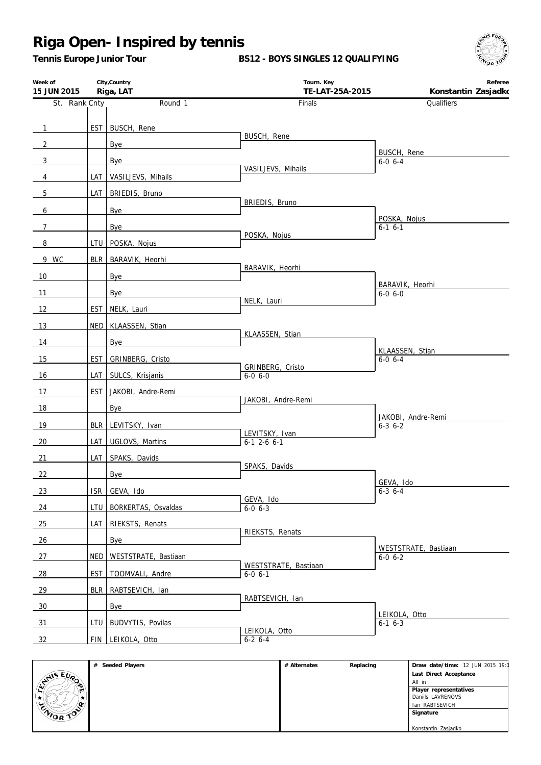*Tennis Europe Junior Tour*

**BS12 - BOYS SINGLES 12 QUALIFYING**



| Week of<br>15 JUN 2015 |                  | City, Country<br>Riga, LAT | Tourn. Key<br>TE-LAT-25A-2015         | Referee<br>Konstantin Zasjadko        |
|------------------------|------------------|----------------------------|---------------------------------------|---------------------------------------|
| St. Rank Cnty          |                  | Round 1                    | Finals                                | Qualifiers                            |
|                        |                  |                            |                                       |                                       |
| $\overline{1}$         |                  | EST   BUSCH, Rene          | BUSCH, Rene                           |                                       |
| $\overline{2}$         |                  | Bye                        |                                       | BUSCH, Rene                           |
| $\mathbf{3}$           |                  | Bye                        | VASILJEVS, Mihails                    | $6 - 0 6 - 4$                         |
| $\overline{4}$         | LAT              | VASILJEVS, Mihails         |                                       |                                       |
| $5\phantom{.0}$        | LAT              | BRIEDIS, Bruno             | BRIEDIS, Bruno                        |                                       |
| 6                      |                  | Bye                        |                                       | POSKA, Nojus                          |
| $7\overline{ }$        |                  | Bye                        | POSKA, Nojus                          | $6-1$ $6-1$                           |
| 8                      |                  | LTU POSKA, Nojus           |                                       |                                       |
| 9 WC                   |                  | BLR BARAVIK, Heorhi        |                                       |                                       |
| 10                     |                  | Bye                        | BARAVIK, Heorhi                       |                                       |
| 11                     |                  | Bye                        |                                       | BARAVIK, Heorhi<br>$6 - 0 6 - 0$      |
| 12                     | EST              | NELK, Lauri                | NELK, Lauri                           |                                       |
| 13                     |                  | NED KLAASSEN, Stian        |                                       |                                       |
| 14                     |                  | Bye                        | KLAASSEN, Stian                       |                                       |
| 15                     | EST              | GRINBERG, Cristo           |                                       | KLAASSEN, Stian<br>$6 - 0 6 - 4$      |
| 16                     | LAT I            | SULCS, Krisjanis           | GRINBERG, Cristo<br>$6-0$ $6-0$       |                                       |
| 17                     |                  | EST JAKOBI, Andre-Remi     |                                       |                                       |
|                        |                  |                            | JAKOBI, Andre-Remi                    |                                       |
| 18                     |                  | Bye                        |                                       | JAKOBI, Andre-Remi                    |
| 19                     |                  | BLR LEVITSKY, Ivan         | LEVITSKY, Ivan                        | $6 - 3$ $6 - 2$                       |
| 20                     |                  | LAT UGLOVS, Martins        | $6-1$ 2-6 $6-1$                       |                                       |
| 21                     | LAT              | SPAKS, Davids              | SPAKS, Davids                         |                                       |
| 22                     |                  | Bye                        |                                       | GEVA, Ido                             |
| 23                     |                  | ISR GEVA, Ido              | GEVA, Ido                             | $6-3$ 6-4                             |
| 24                     |                  | LTU   BORKERTAS, Osvaldas  | $6 - 0, 6 - 3$                        |                                       |
| 25                     |                  | LAT RIEKSTS, Renats        | RIEKSTS, Renats                       |                                       |
| 26                     |                  | Bye                        |                                       |                                       |
| 27                     | NED <sup>1</sup> | WESTSTRATE, Bastiaan       |                                       | WESTSTRATE, Bastiaan<br>$6 - 0 6 - 2$ |
| 28                     | <b>EST</b>       | TOOMVALI, Andre            | WESTSTRATE, Bastiaan<br>$6 - 0 6 - 1$ |                                       |
| 29                     | <b>BLR</b>       | RABTSEVICH, Ian            |                                       |                                       |
| 30                     |                  | Bye                        | RABTSEVICH, Ian                       |                                       |
| 31                     | LTU              | BUDVYTIS, Povilas          |                                       | LEIKOLA, Otto<br>$6-1$ $6-3$          |
| 32                     |                  | FIN LEIKOLA, Otto          | LEIKOLA, Otto<br>$6-2$ 6-4            |                                       |
|                        |                  |                            |                                       |                                       |

|                  | Seeded Players<br># | # Alternates | Replacing | Draw date/time: 12 JUN 2015 19:0 |
|------------------|---------------------|--------------|-----------|----------------------------------|
|                  |                     |              |           | Last Direct Acceptance           |
| <b>SAISEUP</b>   |                     |              |           | All in                           |
|                  |                     |              |           | Player representatives           |
|                  |                     |              |           | Daniils LAVRENOVS                |
| œ.               |                     |              |           | Ian RABTSEVICH                   |
| <b>ENIOR TOP</b> |                     |              |           | Signature                        |
|                  |                     |              |           |                                  |
|                  |                     |              |           | Konstantin Zasjadko              |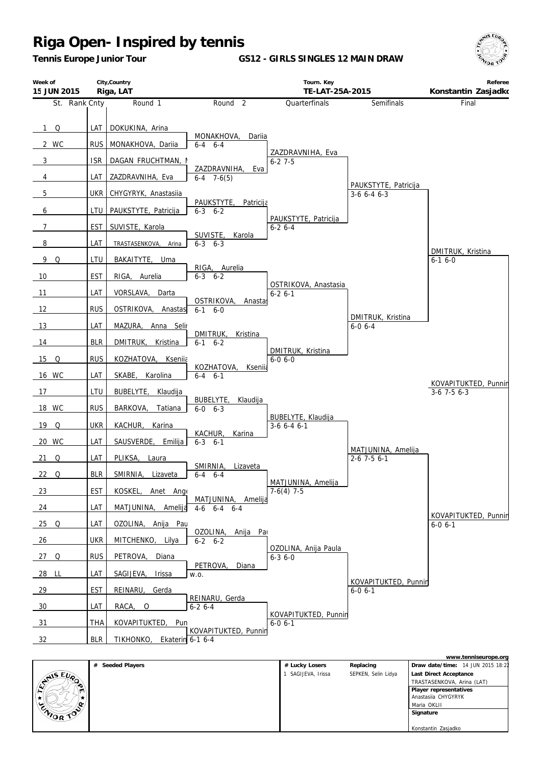*Tennis Europe Junior Tour*

**GS12 - GIRLS SINGLES 12 MAIN DRAW**



| Week of<br>15 JUN 2015 |                   | City, Country<br>Riga, LAT           |                                            | Tourn. Key<br>TE-LAT-25A-2015         |                                       | Referee<br>Konstantin Zasjadko        |
|------------------------|-------------------|--------------------------------------|--------------------------------------------|---------------------------------------|---------------------------------------|---------------------------------------|
| St. Rank Cnty          |                   | Round 1                              | Round <sub>2</sub>                         | Quarterfinals                         | Semifinals                            | Final                                 |
| $1 \Omega$<br>2 WC     | LAT<br><b>RUS</b> | DOKUKINA, Arina<br>MONAKHOVA, Dariia | MONAKHOVA,<br>Dariia<br>$6 - 4$ $6 - 4$    |                                       |                                       |                                       |
| $\mathbf{3}$           | <b>ISR</b>        | DAGAN FRUCHTMAN, I                   |                                            | ZAZDRAVNIHA, Eva<br>$6 - 27 - 5$      |                                       |                                       |
| 4                      | LAT               | ZAZDRAVNIHA, Eva                     | ZAZDRAVNIHA,<br>Eva<br>$6-4$ 7-6(5)        |                                       |                                       |                                       |
| $5\phantom{.0}$        | <b>UKR</b>        | CHYGYRYK, Anastasiia                 |                                            |                                       | PAUKSTYTE, Patricija<br>$3-6$ 6-4 6-3 |                                       |
| 6                      | LTU               | PAUKSTYTE, Patricija                 | PAUKSTYTE,<br>Patricija<br>$6 - 3$ $6 - 2$ |                                       |                                       |                                       |
| $\overline{7}$         | <b>EST</b>        | SUVISTE, Karola                      |                                            | PAUKSTYTE, Patricija<br>$6 - 26 - 4$  |                                       |                                       |
| 8                      | LAT               | TRASTASENKOVA, Arina                 | SUVISTE,<br>Karola<br>$6 - 3$ $6 - 3$      |                                       |                                       |                                       |
| 9<br>Q                 | LTU               | BAKAITYTE, Uma                       |                                            |                                       |                                       | DMITRUK, Kristina<br>$6-16-0$         |
| 10                     | <b>EST</b>        | RIGA, Aurelia                        | RIGA, Aurelia<br>$6 - 3$ $6 - 2$           |                                       |                                       |                                       |
| 11                     | LAT               | VORSLAVA,<br>Darta                   |                                            | OSTRIKOVA, Anastasia<br>$6 - 26 - 1$  |                                       |                                       |
| 12                     | <b>RUS</b>        | OSTRIKOVA, Anastas                   | OSTRIKOVA,<br>Anastas<br>$6-1$ $6-0$       |                                       |                                       |                                       |
| 13                     | LAT               | MAZURA,<br>Anna Selir                |                                            |                                       | DMITRUK, Kristina<br>$6 - 06 - 4$     |                                       |
| 14                     | <b>BLR</b>        | DMITRUK,<br>Kristina                 | DMITRUK,<br>Kristina<br>$6-1$ $6-2$        |                                       |                                       |                                       |
| $15$ Q                 | <b>RUS</b>        | KOZHATOVA, Kseniia                   |                                            | DMITRUK, Kristina<br>$6 - 0 6 - 0$    |                                       |                                       |
| 16 WC                  | LAT               | SKABE, Karolina                      | KOZHATOVA,<br>Kseniia<br>$6 - 4$ $6 - 1$   |                                       |                                       |                                       |
| 17                     | LTU               | BUBELYTE, Klaudija                   |                                            |                                       |                                       | KOVAPITUKTED, Punnin<br>$3-6$ 7-5 6-3 |
| 18 WC                  | <b>RUS</b>        | BARKOVA,<br>Tatiana                  | BUBELYTE,<br>Klaudija<br>$6 - 0 6 - 3$     |                                       |                                       |                                       |
| 19 Q                   | <b>UKR</b>        | KACHUR,<br>Karina                    |                                            | BUBELYTE, Klaudija<br>$3-6$ 6-4 6-1   |                                       |                                       |
| 20 WC                  | LAT               | SAUSVERDE,<br>Emilija                | KACHUR,<br>Karina<br>$6 - 3$ $6 - 1$       |                                       |                                       |                                       |
| 21<br>Q                | LAT               | PLIKSA,<br>Laura                     |                                            |                                       | MATJUNINA, Amelija<br>$2-6$ 7-5 6-1   |                                       |
| 22 Q                   | <b>BLR</b>        | SMIRNIA, Lizaveta                    | SMIRNIA,<br>Lizaveta<br>$6 - 4$ $6 - 4$    |                                       |                                       |                                       |
| 23                     | <b>EST</b>        | KOSKEL, Anet Ange                    |                                            | MATJUNINA, Amelija<br>$7-6(4)$ 7-5    |                                       |                                       |
| 24                     | LAT               | MATJUNINA, Amelija                   | MATJUNINA, Amelija<br>$4-6$ $6-4$ $6-4$    |                                       |                                       |                                       |
| $25$ Q                 | LAT               | OZOLINA, Anija Pau                   |                                            |                                       |                                       | KOVAPITUKTED, Punnin<br>$6 - 0 6 - 1$ |
| 26                     | <b>UKR</b>        | MITCHENKO, Lilya                     | OZOLINA, Anija Pat<br>$6 - 2 6 - 2$        |                                       |                                       |                                       |
| 27 Q                   | <b>RUS</b>        | PETROVA,<br>Diana                    |                                            | OZOLINA, Anija Paula<br>$6 - 3$ 6 - 0 |                                       |                                       |
| 28 LL                  | LAT               | SAGIJEVA,<br>Irissa                  | PETROVA,<br>Diana<br>W.O.                  |                                       |                                       |                                       |
| 29                     | <b>EST</b>        | REINARU,<br>Gerda                    |                                            |                                       | KOVAPITUKTED, Punnin<br>$6 - 0 6 - 1$ |                                       |
| 30                     | LAT               | RACA, O                              | REINARU, Gerda<br>$6 - 26 - 4$             |                                       |                                       |                                       |
| 31                     | <b>THA</b>        | KOVAPITUKTED,<br>Pun                 |                                            | KOVAPITUKTED, Punnin<br>$6 - 0 6 - 1$ |                                       |                                       |
| 32                     | <b>BLR</b>        | TIKHONKO, Ekaterin 6-1 6-4           | KOVAPITUKTED, Punnin                       |                                       |                                       |                                       |

|                                |                     |                  |                     | www.tenniseurope.org              |
|--------------------------------|---------------------|------------------|---------------------|-----------------------------------|
|                                | Seeded Players<br># | # Lucky Losers   | Replacing           | Draw date/time: 14 JUN 2015 18:22 |
|                                |                     | SAGIJEVA, Irissa | SEPKEN, Selin Lidya | Last Direct Acceptance            |
| $\mathbb{C}^{\text{NIS EU}_R}$ |                     |                  |                     | TRASTASENKOVA, Arina (LAT)        |
| ا است                          |                     |                  |                     | Player representatives            |
|                                |                     |                  |                     | Anastasiia CHYGYRYK               |
|                                |                     |                  |                     | Maria OKLII                       |
| ENIOR TOP                      |                     |                  |                     | Signature                         |
|                                |                     |                  |                     |                                   |
|                                |                     |                  |                     | Konstantin Zasjadko               |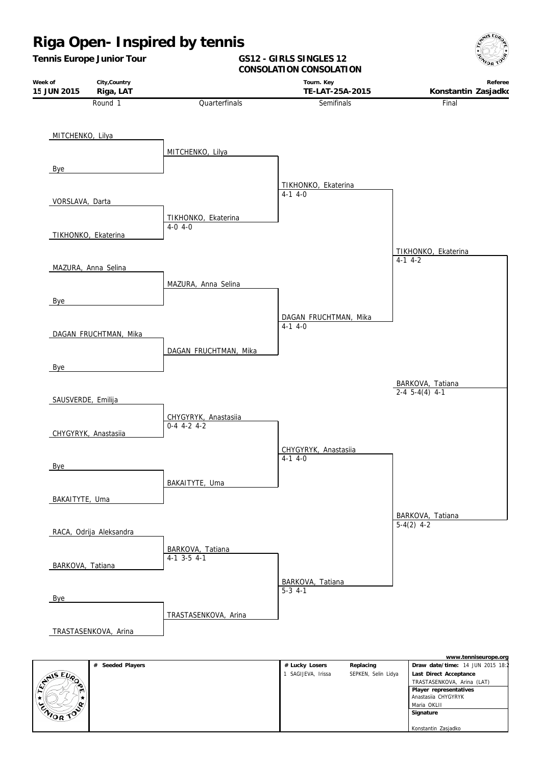

|           | # Seeded Players | # Lucky Losers   | Replacing           | Draw date/time: 14 JUN 2015 18:2 |
|-----------|------------------|------------------|---------------------|----------------------------------|
|           |                  | SAGIJEVA, Irissa | SEPKEN, Selin Lidya | Last Direct Acceptance           |
| LYNIS EUP |                  |                  |                     | TRASTASENKOVA, Arina (LAT)       |
|           |                  |                  |                     | Player representatives           |
|           |                  |                  |                     | Anastasija CHYGYRYK              |
|           |                  |                  |                     | Maria OKLII                      |
| CNIOR TOP |                  |                  |                     | Signature                        |
|           |                  |                  |                     |                                  |
|           |                  |                  |                     | Konstantin Zasjadko              |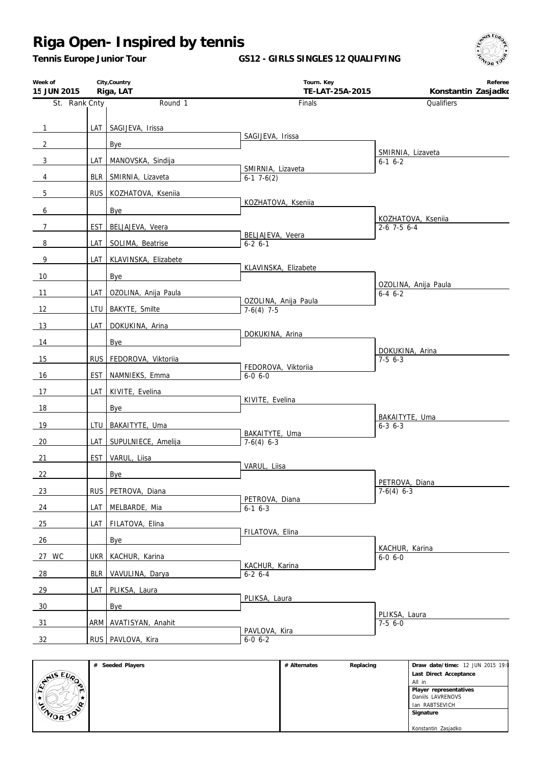*Tennis Europe Junior Tour*

**GS12 - GIRLS SINGLES 12 QUALIFYING**



| Week of<br>15 JUN 2015 |            | City, Country<br>Riga, LAT | Tourn. Key<br>TE-LAT-25A-2015     | Referee<br>Konstantin Zasjadko      |
|------------------------|------------|----------------------------|-----------------------------------|-------------------------------------|
| St. Rank Cnty          |            | Round 1                    | Finals                            | Qualifiers                          |
|                        |            |                            |                                   |                                     |
| $\mathbf{1}$           |            | LAT SAGIJEVA, Irissa       | SAGIJEVA, Irissa                  |                                     |
| $\overline{2}$         |            | Bye                        |                                   | SMIRNIA, Lizaveta                   |
| 3                      |            | LAT MANOVSKA, Sindija      | SMIRNIA, Lizaveta                 | $6-1$ $6-2$                         |
| 4                      |            | BLR   SMIRNIA, Lizaveta    | $6-1$ 7 $-6(2)$                   |                                     |
| 5                      |            | RUS KOZHATOVA, Ksenija     |                                   |                                     |
| 6                      |            | Bye                        | KOZHATOVA, Kseniia                |                                     |
| $7^{\circ}$            |            | EST   BELJAJEVA, Veera     |                                   | KOZHATOVA, Ksenija<br>$2-6$ 7-5 6-4 |
| 8                      |            | LAT   SOLIMA, Beatrise     | BELJAJEVA, Veera<br>$6 - 2 6 - 1$ |                                     |
| 9                      |            | LAT KLAVINSKA, Elizabete   |                                   |                                     |
| 10                     |            | Bye                        | KLAVINSKA, Elizabete              |                                     |
|                        | LAT        |                            |                                   | OZOLINA, Anija Paula                |
| 11                     |            | OZOLINA, Anija Paula       | OZOLINA, Anija Paula              | $6 - 4 6 - 2$                       |
| 12                     |            | LTU   BAKYTE, Smilte       | $7-6(4)$ 7-5                      |                                     |
| 13                     | <b>LAT</b> | DOKUKINA, Arina            | DOKUKINA, Arina                   |                                     |
| 14                     |            | Bye                        |                                   | DOKUKINA, Arina                     |
| 15                     |            | RUS FEDOROVA, Viktoriia    | FEDOROVA, Viktoriia               | $7-56-3$                            |
| 16                     |            | EST NAMNIEKS, Emma         | $6 - 0 6 - 0$                     |                                     |
| 17                     |            | LAT KIVITE, Evelina        |                                   |                                     |
| 18                     |            | Bye                        | KIVITE, Evelina                   |                                     |
| 19                     |            | LTU   BAKAITYTE, Uma       |                                   | BAKAITYTE, Uma<br>$6 - 3$ $6 - 3$   |
| 20                     |            | LAT SUPULNIECE, Amelija    | BAKAITYTE, Uma<br>$7-6(4)$ 6-3    |                                     |
| 21                     |            | EST VARUL, Liisa           |                                   |                                     |
|                        |            |                            | VARUL, Liisa                      |                                     |
| 22                     |            | Bye                        |                                   | PETROVA, Diana                      |
| <u>23</u>              |            | RUS PETROVA, Diana         | PETROVA, Diana                    | $7-6(4)$ 6-3                        |
| 24                     | LAT        | MELBARDE, Mia              | $6-1$ $6-3$                       |                                     |
| 25                     | LAT I      | FILATOVA, Elina            | FILATOVA, Elina                   |                                     |
| 26                     |            | Bye                        |                                   | KACHUR, Karina                      |
| 27 WC                  |            | UKR   KACHUR, Karina       |                                   | $6 - 0 6 - 0$                       |
| 28                     |            | BLR VAVULINA, Darya        | KACHUR, Karina<br>$6-2$ 6-4       |                                     |
| 29                     |            | LAT   PLIKSA, Laura        |                                   |                                     |
| 30                     |            | <b>Bye</b>                 | PLIKSA, Laura                     |                                     |
| 31                     |            | ARM AVATISYAN, Anahit      |                                   | PLIKSA, Laura<br>$7-56-0$           |
| 32                     |            | RUS PAVLOVA, Kira          | PAVLOVA, Kira<br>$6 - 0 6 - 2$    |                                     |
|                        |            |                            |                                   |                                     |

|                                             | # Seeded Players | # Alternates | Replacing | Draw date/time: 12 JUN 2015 19:0 |
|---------------------------------------------|------------------|--------------|-----------|----------------------------------|
| $\epsilon_{U_{\Omega}}$<br>$\epsilon_{\nu}$ |                  |              |           | Last Direct Acceptance           |
|                                             |                  |              |           | All in                           |
|                                             |                  |              |           | Player representatives           |
|                                             |                  |              |           | Daniils LAVRENOVS                |
| `C                                          |                  |              |           | Ian RABTSEVICH                   |
| <b>ENIOR TOP</b>                            |                  |              |           | Signature                        |
|                                             |                  |              |           |                                  |
|                                             |                  |              |           | Konstantin Zasjadko              |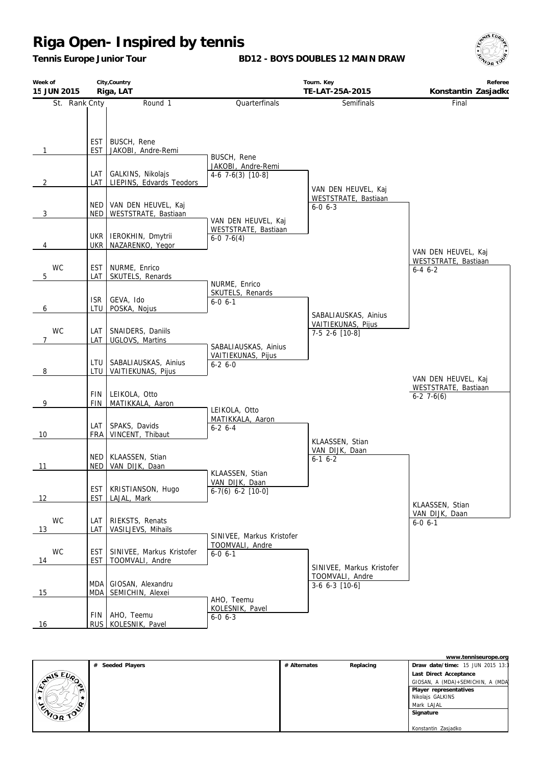*Tennis Europe Junior Tour*

**BD12 - BOYS DOUBLES 12 MAIN DRAW**



| Week of<br>15 JUN 2015 |                                   | City, Country<br>Riga, LAT                             |                                                               | Tourn. Key<br>TE-LAT-25A-2015                                    | Referee<br>Konstantin Zasjadko                     |
|------------------------|-----------------------------------|--------------------------------------------------------|---------------------------------------------------------------|------------------------------------------------------------------|----------------------------------------------------|
| St. Rank Cnty          |                                   | Round 1                                                | Quarterfinals                                                 | Semifinals                                                       | Final                                              |
| $\mathbf{1}$           | <b>EST</b><br><b>EST</b><br>LAT I | BUSCH, Rene<br>JAKOBI, Andre-Remi<br>GALKINS, Nikolajs | BUSCH, Rene<br>JAKOBI, Andre-Remi                             |                                                                  |                                                    |
| $\overline{2}$         |                                   | LAT LIEPINS, Edvards Teodors                           | $4-6$ 7 $-6(3)$ [10 $-8$ ]                                    | VAN DEN HEUVEL, Kaj                                              |                                                    |
| 3                      | NED I<br><b>NED</b>               | VAN DEN HEUVEL, Kaj<br>WESTSTRATE, Bastiaan            | VAN DEN HEUVEL, Kaj                                           | WESTSTRATE, Bastiaan<br>$6 - 0 6 - 3$                            |                                                    |
| 4                      | UKR                               | UKR   IEROKHIN, Dmytrii<br>NAZARENKO, Yegor            | WESTSTRATE, Bastiaan<br>$6-0$ 7 $-6(4)$                       |                                                                  | VAN DEN HEUVEL, Kaj                                |
| <b>WC</b><br>5         | <b>EST</b><br>LAT                 | NURME, Enrico<br>SKUTELS, Renards                      | NURME, Enrico                                                 |                                                                  | WESTSTRATE, Bastiaan<br>$6 - 4 6 - 2$              |
| 6                      | <b>ISR</b><br>LTU                 | GEVA, Ido<br>POSKA, Nojus                              | SKUTELS, Renards<br>$6 - 0 6 - 1$                             | SABALIAUSKAS, Ainius                                             |                                                    |
| <b>WC</b><br>7         | LAT<br>LAT                        | SNAIDERS, Daniils<br>UGLOVS, Martins                   | SABALIAUSKAS, Ainius                                          | VAITIEKUNAS, Pijus<br>7-5 2-6 [10-8]                             |                                                    |
| 8                      | LTU<br>LTU                        | SABALIAUSKAS, Ainius<br>VAITIEKUNAS, Pijus             | VAITIEKUNAS, Pijus<br>$6-26-0$                                |                                                                  | VAN DEN HEUVEL, Kaj                                |
| 9                      | <b>FIN</b><br><b>FIN</b>          | LEIKOLA, Otto<br>MATIKKALA, Aaron                      |                                                               |                                                                  | WESTSTRATE, Bastiaan<br>$6-2$ 7 $-6(6)$            |
| 10                     | LAT<br><b>FRA</b>                 | SPAKS, Davids<br>VINCENT, Thibaut                      | LEIKOLA, Otto<br>MATIKKALA, Aaron<br>$6-2$ $6-4$              | KLAASSEN, Stian                                                  |                                                    |
| 11                     | NED                               | NED   KLAASSEN, Stian<br>VAN DIJK, Daan                | KLAASSEN, Stian                                               | VAN DIJK, Daan<br>$6-1$ $6-2$                                    |                                                    |
| 12                     | <b>EST</b><br>EST                 | KRISTIANSON, Hugo<br>LAJAL, Mark                       | VAN DIJK, Daan<br>$6-7(6)$ 6-2 [10-0]                         |                                                                  |                                                    |
| <b>WC</b><br>13        | LAT<br>LAT                        | RIEKSTS, Renats<br>VASILJEVS, Mihails                  |                                                               |                                                                  | KLAASSEN, Stian<br>VAN DIJK, Daan<br>$6 - 0 6 - 1$ |
| <b>WC</b><br>14        | <b>EST</b><br><b>EST</b>          | SINIVEE, Markus Kristofer<br>TOOMVALI, Andre           | SINIVEE, Markus Kristofer<br>TOOMVALI, Andre<br>$6 - 0 6 - 1$ |                                                                  |                                                    |
| 15                     | MDA I<br>MDA                      | GIOSAN, Alexandru<br>SEMICHIN, Alexei                  |                                                               | SINIVEE, Markus Kristofer<br>TOOMVALI, Andre<br>$3-6$ 6-3 [10-6] |                                                    |
| 16                     |                                   | FIN   AHO, Teemu<br>RUS KOLESNIK, Pavel                | AHO, Teemu<br>KOLESNIK, Pavel<br>$6 - 0 6 - 3$                |                                                                  |                                                    |

|                                          |                     |              |           | www.tenniseurope.org             |
|------------------------------------------|---------------------|--------------|-----------|----------------------------------|
|                                          | Seeded Players<br># | # Alternates | Replacing | Draw date/time: 15 JUN 2015 13:3 |
| $\mathcal{L}$ $\varepsilon_{\nu_{\rho}}$ |                     |              |           | Last Direct Acceptance           |
| <b>42 AVS</b>                            |                     |              |           | GIOSAN, A (MDA)+SEMICHIN, A (MDA |
|                                          |                     |              |           | Player representatives           |
|                                          |                     |              |           | Nikolajs GALKINS                 |
| $\alpha$                                 |                     |              |           | Mark LAJAL                       |
| ENIOR TO                                 |                     |              |           | Signature                        |
|                                          |                     |              |           |                                  |
|                                          |                     |              |           | Konstantin Zasjadko              |